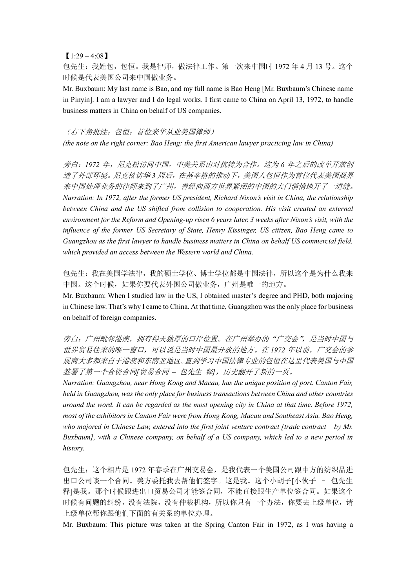## $[1:29 - 4:08]$

包先生:我姓包,包恒。我是律师,做法律工作。第一次来中国时 1972 年 4 月 13 号。这个 时候是代表美国公司来中国做业务。

Mr. Buxbaum: My last name is Bao, and my full name is Bao Heng [Mr. Buxbaum's Chinese name in Pinyin]. I am a lawyer and I do legal works. I first came to China on April 13, 1972, to handle business matters in China on behalf of US companies.

## (右下角批注:包恒:首位来华从业美国律师)

*(the note on the right corner: Bao Heng: the first American lawyer practicing law in China)*

旁白:*1972* 年,尼克松访问中国,中美关系由对抗转为合作。这为 *6* 年之后的改革开放创 造了外部环境。尼克松访华 *3* 周后,在基辛格的推动下,美国人包恒作为首位代表美国商界 来中国处理业务的律师来到了广州,曾经向西方世界紧闭的中国的大门悄悄地开了一道缝。 *Narration: In 1972, after the former US president, Richard Nixon's visit in China, the relationship between China and the US shifted from collision to cooperation. His visit created an external environment for the Reform and Opening-up risen 6 years later. 3 weeks after Nixon's visit, with the influence of the former US Secretary of State, Henry Kissinger, US citizen, Bao Heng came to Guangzhou as the first lawyer to handle business matters in China on behalf US commercial field, which provided an access between the Western world and China.*

包先生:我在美国学法律,我的硕士学位、博士学位都是中国法律,所以这个是为什么我来 中国。这个时候,如果你要代表外国公司做业务,广州是唯一的地方。

Mr. Buxbaum: When I studied law in the US, I obtained master's degree and PHD, both majoring in Chinese law. That's why I came to China. At that time, Guangzhou was the only place for business on behalf of foreign companies.

旁白:广州毗邻港澳,拥有得天独厚的口岸位置。在广州举办的"广交会",是当时中国与 世界贸易往来的唯一窗口,可以说是当时中国最开放的地方。在 *1972* 年以前,广交会的参 展商大多都来自于港澳和东南亚地区。直到学习中国法律专业的包恒在这里代表美国与中国 签署了第一个合资合同*[*贸易合同 *–* 包先生 释*]*,历史翻开了新的一页。

*Narration: Guangzhou, near Hong Kong and Macau, has the unique position of port. Canton Fair, held in Guangzhou, was the only place for business transactions between China and other countries around the word. It can be regarded as the most opening city in China at that time. Before 1972, most of the exhibitors in Canton Fair were from Hong Kong, Macau and Southeast Asia. Bao Heng, who majored in Chinese Law, entered into the first joint venture contract [trade contract – by Mr. Buxbaum], with a Chinese company, on behalf of a US company, which led to a new period in history.*

包先生:这个相片是 1972 年春季在广州交易会,是我代表一个美国公司跟中方的纺织品进 出口公司谈一个合同。美方委托我去帮他们签字。这是我。这个小胡子[小伙子 – 包先生 释]是我。那个时候跟进出口贸易公司才能签合同,不能直接跟生产单位签合同。如果这个 时候有问题的纠纷,没有法院,没有仲裁机构,所以你只有一个办法,你要去上级单位,请 上级单位帮你跟他们下面的有关系的单位办理。

Mr. Buxbaum: This picture was taken at the Spring Canton Fair in 1972, as I was having a